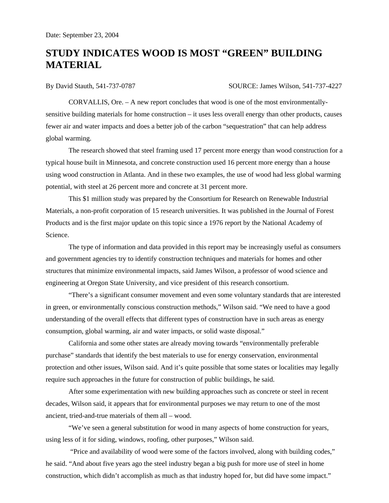## **STUDY INDICATES WOOD IS MOST "GREEN" BUILDING MATERIAL**

By David Stauth, 541-737-0787 SOURCE: James Wilson, 541-737-4227

 CORVALLIS, Ore. – A new report concludes that wood is one of the most environmentallysensitive building materials for home construction – it uses less overall energy than other products, causes fewer air and water impacts and does a better job of the carbon "sequestration" that can help address global warming.

 The research showed that steel framing used 17 percent more energy than wood construction for a typical house built in Minnesota, and concrete construction used 16 percent more energy than a house using wood construction in Atlanta. And in these two examples, the use of wood had less global warming potential, with steel at 26 percent more and concrete at 31 percent more.

This \$1 million study was prepared by the Consortium for Research on Renewable Industrial Materials, a non-profit corporation of 15 research universities. It was published in the Journal of Forest Products and is the first major update on this topic since a 1976 report by the National Academy of Science.

 The type of information and data provided in this report may be increasingly useful as consumers and government agencies try to identify construction techniques and materials for homes and other structures that minimize environmental impacts, said James Wilson, a professor of wood science and engineering at Oregon State University, and vice president of this research consortium.

 "There's a significant consumer movement and even some voluntary standards that are interested in green, or environmentally conscious construction methods," Wilson said. "We need to have a good understanding of the overall effects that different types of construction have in such areas as energy consumption, global warming, air and water impacts, or solid waste disposal."

 California and some other states are already moving towards "environmentally preferable purchase" standards that identify the best materials to use for energy conservation, environmental protection and other issues, Wilson said. And it's quite possible that some states or localities may legally require such approaches in the future for construction of public buildings, he said.

 After some experimentation with new building approaches such as concrete or steel in recent decades, Wilson said, it appears that for environmental purposes we may return to one of the most ancient, tried-and-true materials of them all – wood.

 "We've seen a general substitution for wood in many aspects of home construction for years, using less of it for siding, windows, roofing, other purposes," Wilson said.

 "Price and availability of wood were some of the factors involved, along with building codes," he said. "And about five years ago the steel industry began a big push for more use of steel in home construction, which didn't accomplish as much as that industry hoped for, but did have some impact."